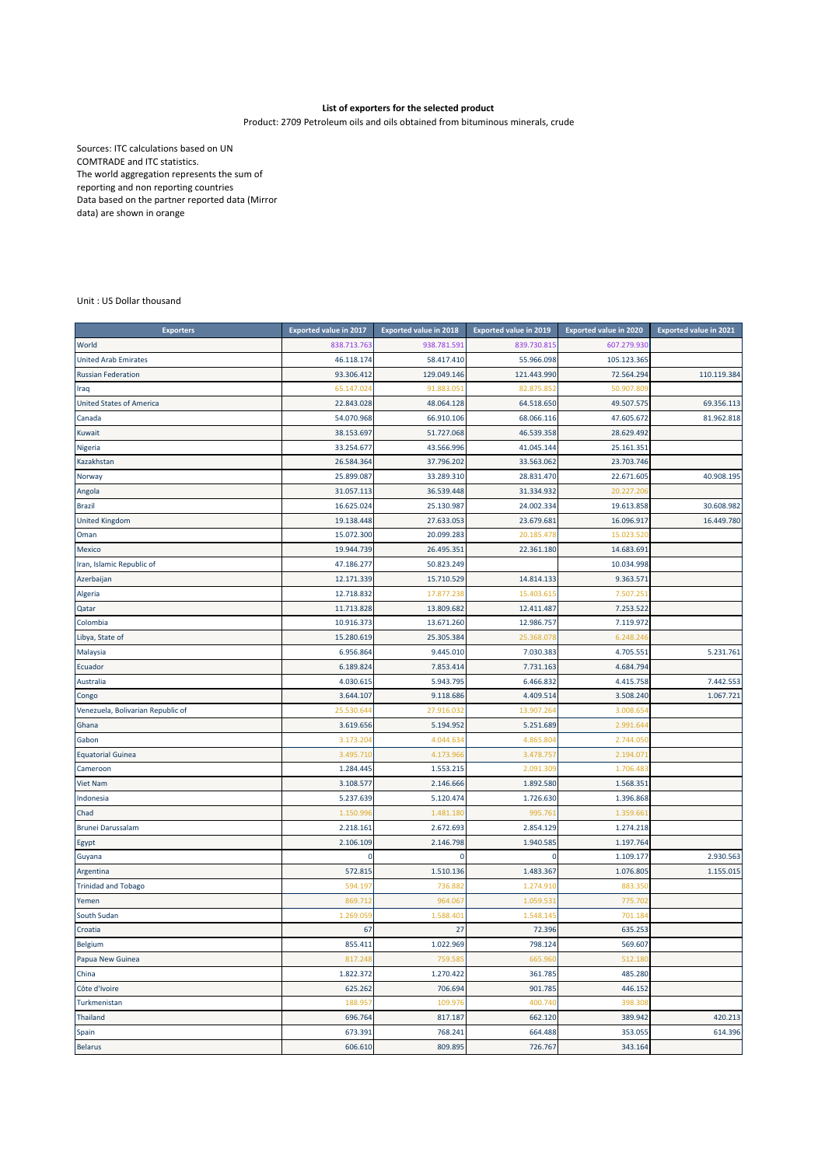## **List of exporters for the selected product**

Product: 2709 Petroleum oils and oils obtained from bituminous minerals, crude

Sources: ITC calculations based on UN COMTRADE and ITC statistics. The world aggregation represents the sum of reporting and non reporting countries Data based on the partner reported data (Mirror data) are shown in orange

Unit : US Dollar thousand

| <b>Exporters</b>                  | <b>Exported value in 2017</b> | <b>Exported value in 2018</b> | <b>Exported value in 2019</b> | <b>Exported value in 2020</b> | <b>Exported value in 2021</b> |
|-----------------------------------|-------------------------------|-------------------------------|-------------------------------|-------------------------------|-------------------------------|
| World                             | 838.713.763                   | 938.781.591                   | 839.730.815                   | 607.279.930                   |                               |
| <b>United Arab Emirates</b>       | 46.118.174                    | 58.417.410                    | 55.966.098                    | 105.123.365                   |                               |
| <b>Russian Federation</b>         | 93.306.412                    | 129.049.146                   | 121.443.990                   | 72.564.294                    | 110.119.384                   |
| Iraq                              | 65.147.02                     | 91.883.05                     | 82.875.852                    | 50.907.809                    |                               |
| <b>United States of America</b>   | 22.843.028                    | 48.064.128                    | 64.518.650                    | 49.507.575                    | 69.356.113                    |
| Canada                            | 54.070.968                    | 66.910.106                    | 68.066.116                    | 47.605.672                    | 81.962.818                    |
| Kuwait                            | 38.153.697                    | 51.727.068                    | 46.539.358                    | 28.629.492                    |                               |
| Nigeria                           | 33.254.677                    | 43.566.996                    | 41.045.144                    | 25.161.351                    |                               |
| Kazakhstan                        | 26.584.364                    | 37.796.202                    | 33.563.062                    | 23.703.746                    |                               |
| Norway                            | 25.899.087                    | 33.289.310                    | 28.831.470                    | 22.671.605                    | 40.908.195                    |
| Angola                            | 31.057.113                    | 36.539.448                    | 31.334.932                    | 20.227.20                     |                               |
| <b>Brazil</b>                     | 16.625.024                    | 25.130.987                    | 24.002.334                    | 19.613.858                    | 30.608.982                    |
| <b>United Kingdom</b>             | 19.138.448                    | 27.633.053                    | 23.679.681                    | 16.096.917                    | 16.449.780                    |
| Oman                              | 15.072.300                    | 20.099.283                    | 20.185.47                     | 15.023.52                     |                               |
| Mexico                            | 19.944.739                    | 26.495.351                    | 22.361.180                    | 14.683.691                    |                               |
| Iran, Islamic Republic of         | 47.186.277                    | 50.823.249                    |                               | 10.034.998                    |                               |
| Azerbaijan                        | 12.171.339                    | 15.710.529                    | 14.814.133                    | 9.363.571                     |                               |
| Algeria                           | 12.718.832                    | 17.877.23                     | 15.403.61                     | 7.507.25                      |                               |
| Qatar                             | 11.713.828                    | 13.809.682                    | 12.411.487                    | 7.253.522                     |                               |
| Colombia                          | 10.916.373                    | 13.671.260                    | 12.986.757                    | 7.119.972                     |                               |
| Libya, State of                   | 15.280.619                    | 25.305.384                    | 25.368.078                    | 6.248.24                      |                               |
| Malaysia                          | 6.956.864                     | 9.445.010                     | 7.030.383                     | 4.705.551                     | 5.231.761                     |
| Ecuador                           | 6.189.824                     | 7.853.414                     | 7.731.163                     | 4.684.794                     |                               |
| Australia                         | 4.030.615                     | 5.943.795                     | 6.466.832                     | 4.415.758                     | 7.442.553                     |
| Congo                             | 3.644.107                     | 9.118.686                     | 4.409.514                     | 3.508.240                     | 1.067.721                     |
| Venezuela, Bolivarian Republic of | 25.530.64                     | 27.916.03                     | 13.907.264                    | 3.008.654                     |                               |
| Ghana                             | 3.619.656                     | 5.194.952                     | 5.251.689                     | 2.991.644                     |                               |
| Gabon                             | 3.173.204                     | 4.044.63                      | 4.865.804                     | 2.744.05                      |                               |
| <b>Equatorial Guinea</b>          | 3.495.71                      | 4.173.96                      | 3.478.757                     | 2.194.07                      |                               |
| Cameroon                          | 1.284.445                     | 1.553.215                     | 2.091.309                     | 1.706.483                     |                               |
| Viet Nam                          | 3.108.577                     | 2.146.666                     | 1.892.580                     | 1.568.351                     |                               |
| Indonesia                         | 5.237.639                     | 5.120.474                     | 1.726.630                     | 1.396.868                     |                               |
| Chad                              | 1.150.99                      | 1.481.180                     | 995.761                       | 1.359.66                      |                               |
| Brunei Darussalam                 | 2.218.161                     | 2.672.693                     | 2.854.129                     | 1.274.218                     |                               |
| Egypt                             | 2.106.109                     | 2.146.798                     | 1.940.585                     | 1.197.764                     |                               |
| Guyana                            | 0                             | 0                             | $\Omega$                      | 1.109.177                     | 2.930.563                     |
| Argentina                         | 572.815                       | 1.510.136                     | 1.483.367                     | 1.076.805                     | 1.155.015                     |
| <b>Trinidad and Tobago</b>        | 594.197                       | 736.88                        | 1.274.910                     | 883.350                       |                               |
| Yemen                             | 869.712                       | 964.06                        | 1.059.53                      | 775.70                        |                               |
| South Sudan                       | 1.269.05                      | 1.588.40                      | 1.548.14                      | 701.18                        |                               |
| Croatia                           | 67                            | 27                            | 72.396                        | 635.253                       |                               |
| <b>Belgium</b>                    | 855.411                       | 1.022.969                     | 798.124                       | 569.607                       |                               |
| Papua New Guinea                  | 817.248                       | 759.58                        | 665.960                       | 512.180                       |                               |
| China                             | 1.822.372                     | 1.270.422                     | 361.785                       | 485.280                       |                               |
| Côte d'Ivoire                     | 625.262                       | 706.694                       | 901.785                       | 446.152                       |                               |
| Turkmenistan                      | 188.957                       | 109.976                       | 400.740                       | 398.308                       |                               |
| Thailand                          | 696.764                       | 817.187                       | 662.120                       | 389.942                       | 420.213                       |
| Spain                             | 673.391                       | 768.241                       | 664.488                       | 353.055                       | 614.396                       |
| <b>Belarus</b>                    | 606.610                       | 809.895                       | 726.767                       | 343.164                       |                               |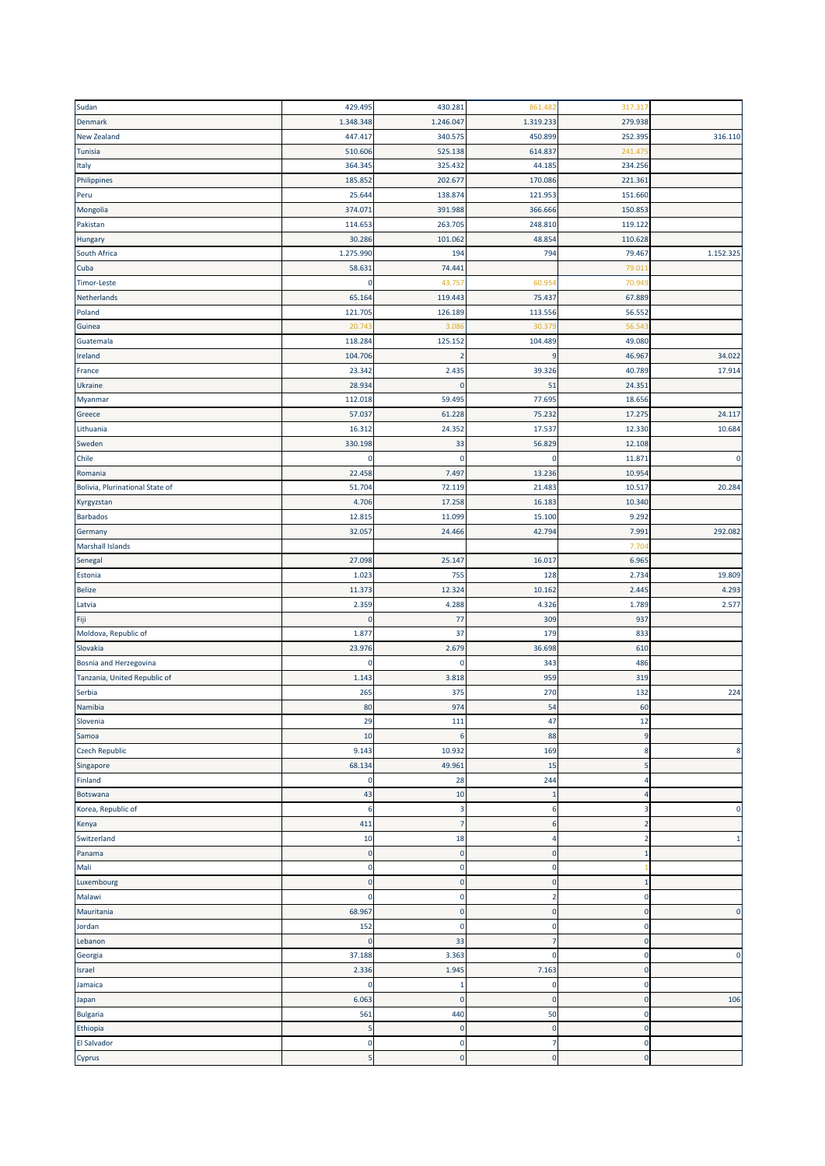| Sudan                           | 429.495      | 430.281        | 861.482         | 317.317        |                |
|---------------------------------|--------------|----------------|-----------------|----------------|----------------|
| Denmark                         | 1.348.348    | 1.246.047      | 1.319.233       | 279.938        |                |
| <b>New Zealand</b>              | 447.417      | 340.575        | 450.899         | 252.395        | 316.110        |
| Tunisia                         | 510.606      | 525.138        | 614.837         | 241.47         |                |
| Italy                           | 364.345      | 325.432        | 44.185          | 234.256        |                |
| Philippines                     | 185.852      | 202.677        | 170.086         | 221.361        |                |
| Peru                            | 25.644       | 138.874        | 121.953         | 151.660        |                |
| Mongolia                        | 374.071      | 391.988        | 366.666         | 150.853        |                |
| Pakistan                        | 114.653      | 263.705        | 248.810         | 119.122        |                |
| Hungary                         | 30.286       | 101.062        | 48.854          | 110.628        |                |
| South Africa                    | 1.275.990    | 194            | 794             | 79.467         | 1.152.325      |
| Cuba                            | 58.631       | 74.441         |                 | 79.01:         |                |
| <b>Timor-Leste</b>              | 0            | 43.757         | 60.95           | 70.949         |                |
| Netherlands                     | 65.164       | 119.443        | 75.437          | 67.889         |                |
| Poland                          | 121.705      | 126.189        | 113.556         | 56.552         |                |
|                                 | 20.74        | 3.08           | 30.379          | 56.54          |                |
| Guinea                          |              | 125.152        |                 |                |                |
| Guatemala                       | 118.284      |                | 104.489         | 49.080         |                |
| Ireland                         | 104.706      |                | 9               | 46.967         | 34.022         |
| France                          | 23.342       | 2.435          | 39.326          | 40.789         | 17.914         |
| Ukraine                         | 28.934       | 0              | 51              | 24.351         |                |
| Myanmar                         | 112.018      | 59.495         | 77.695          | 18.656         |                |
| Greece                          | 57.037       | 61.228         | 75.232          | 17.275         | 24.117         |
| Lithuania                       | 16.312       | 24.352         | 17.537          | 12.330         | 10.684         |
| Sweden                          | 330.198      | 33             | 56.829          | 12.108         |                |
| Chile                           | 0            | $\mathbf 0$    | $\mathbf 0$     | 11.871         | $\mathbf 0$    |
| Romania                         | 22.458       | 7.497          | 13.236          | 10.954         |                |
| Bolivia, Plurinational State of | 51.704       | 72.119         | 21.483          | 10.517         | 20.284         |
| Kyrgyzstan                      | 4.706        | 17.258         | 16.183          | 10.340         |                |
| <b>Barbados</b>                 | 12.815       | 11.099         | 15.100          | 9.292          |                |
| Germany                         | 32.057       | 24.466         | 42.794          | 7.991          | 292.082        |
| <b>Marshall Islands</b>         |              |                |                 | 7.704          |                |
| Senegal                         | 27.098       | 25.147         | 16.017          | 6.965          |                |
| Estonia                         | 1.023        | 755            | 128             | 2.734          | 19.809         |
| <b>Belize</b>                   | 11.373       | 12.324         | 10.162          | 2.445          | 4.293          |
| Latvia                          | 2.359        | 4.288          | 4.326           | 1.789          | 2.577          |
| Fiji                            | $\pmb{0}$    | 77             | 309             | 937            |                |
| Moldova, Republic of            | 1.877        | 37             | 179             | 833            |                |
| Slovakia                        | 23.976       | 2.679          | 36.698          | 610            |                |
| Bosnia and Herzegovina          | 0            | 0              | 343             | 486            |                |
| Tanzania, United Republic of    | 1.143        | 3.818          | 959             | 319            |                |
| Serbia                          | 265          | 375            | 270             | 132            | 224            |
| Namibia                         | 80           | 974            | 54              | 60             |                |
| Slovenia                        | 29           | 111            | 47              | 12             |                |
| Samoa                           | 10           | 6              | 88              | $\overline{9}$ |                |
| <b>Czech Republic</b>           | 9.143        | 10.932         | 169             | 8              | 8              |
| Singapore                       | 68.134       | 49.961         | 15              | 5              |                |
| Finland                         | $\pmb{0}$    | 28             | 244             | 4              |                |
| Botswana                        | 43           | 10             | $\mathbf{1}$    | $\overline{4}$ |                |
| Korea, Republic of              | 6            | 3              | 6               | 3              | $\overline{0}$ |
| Kenya                           | 411          | $\overline{7}$ | $6\phantom{1}6$ | $\overline{2}$ |                |
| Switzerland                     | 10           | 18             | 4               | $\overline{2}$ | -1             |
| Panama                          | $\pmb{0}$    | $\pmb{0}$      | $\bf 0$         | $\mathbf{1}$   |                |
| Mali                            | $\mathbf 0$  | $\mathbf 0$    | $\pmb{0}$       |                |                |
|                                 | $\mathbf 0$  | $\mathbf 0$    | $\bf 0$         | $\mathbf 1$    |                |
| Luxembourg<br>Malawi            | $\mathbf 0$  | $\mathbf 0$    | $\overline{2}$  | $\mathbf 0$    |                |
|                                 |              |                |                 |                |                |
| Mauritania                      | 68.967       | $\mathbf 0$    | $\bf 0$         | $\mathbf 0$    | $\mathbf{0}$   |
| Jordan                          | 152          | $\mathbf 0$    | $\pmb{0}$       | $\mathbf 0$    |                |
| Lebanon                         | $\mathbf{0}$ | 33             | 7               | $\mathbf 0$    |                |
| Georgia                         | 37.188       | 3.363          | $\pmb{0}$       | $\mathbf 0$    | $\mathbf 0$    |
| Israel                          | 2.336        | 1.945          | 7.163           | $\mathbf 0$    |                |
| Jamaica                         | 0            | -1             | 0               | $\pmb{0}$      |                |
| Japan                           | 6.063        | $\bf{0}$       | $\bf{0}$        | $\mathbf 0$    | 106            |
| <b>Bulgaria</b>                 | 561          | 440            | 50              | $\mathbf 0$    |                |
| Ethiopia                        | 5            | $\mathbf 0$    | $\bf{0}$        | $\mathbf 0$    |                |
| <b>El Salvador</b>              | $\mathbf 0$  | 0              | 7               | $\mathbf 0$    |                |
| Cyprus                          | 5            | 0              | $\bf{0}$        | $\mathbf 0$    |                |